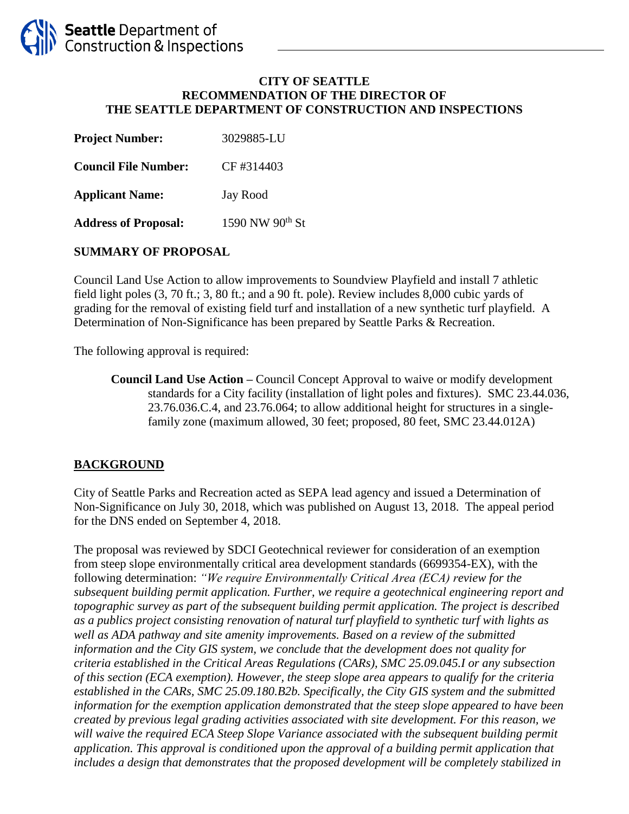#### **CITY OF SEATTLE RECOMMENDATION OF THE DIRECTOR OF THE SEATTLE DEPARTMENT OF CONSTRUCTION AND INSPECTIONS**

| <b>Project Number:</b>      | 3029885-LU                  |
|-----------------------------|-----------------------------|
| <b>Council File Number:</b> | CF#314403                   |
| <b>Applicant Name:</b>      | Jay Rood                    |
| <b>Address of Proposal:</b> | 1590 NW 90 <sup>th</sup> St |

## **SUMMARY OF PROPOSAL**

Council Land Use Action to allow improvements to Soundview Playfield and install 7 athletic field light poles (3, 70 ft.; 3, 80 ft.; and a 90 ft. pole). Review includes 8,000 cubic yards of grading for the removal of existing field turf and installation of a new synthetic turf playfield. A Determination of Non-Significance has been prepared by Seattle Parks & Recreation.

The following approval is required:

**Council Land Use Action –** Council Concept Approval to waive or modify development standards for a City facility (installation of light poles and fixtures). SMC 23.44.036, 23.76.036.C.4, and 23.76.064; to allow additional height for structures in a singlefamily zone (maximum allowed, 30 feet; proposed, 80 feet, SMC 23.44.012A)

## **BACKGROUND**

City of Seattle Parks and Recreation acted as SEPA lead agency and issued a Determination of Non-Significance on July 30, 2018, which was published on August 13, 2018. The appeal period for the DNS ended on September 4, 2018.

The proposal was reviewed by SDCI Geotechnical reviewer for consideration of an exemption from steep slope environmentally critical area development standards (6699354-EX), with the following determination: *"We require Environmentally Critical Area (ECA) review for the subsequent building permit application. Further, we require a geotechnical engineering report and topographic survey as part of the subsequent building permit application. The project is described as a publics project consisting renovation of natural turf playfield to synthetic turf with lights as well as ADA pathway and site amenity improvements. Based on a review of the submitted information and the City GIS system, we conclude that the development does not quality for criteria established in the Critical Areas Regulations (CARs), SMC 25.09.045.I or any subsection of this section (ECA exemption). However, the steep slope area appears to qualify for the criteria established in the CARs, SMC 25.09.180.B2b. Specifically, the City GIS system and the submitted information for the exemption application demonstrated that the steep slope appeared to have been created by previous legal grading activities associated with site development. For this reason, we*  will waive the required ECA Steep Slope Variance associated with the subsequent building permit *application. This approval is conditioned upon the approval of a building permit application that*  includes a design that demonstrates that the proposed development will be completely stabilized in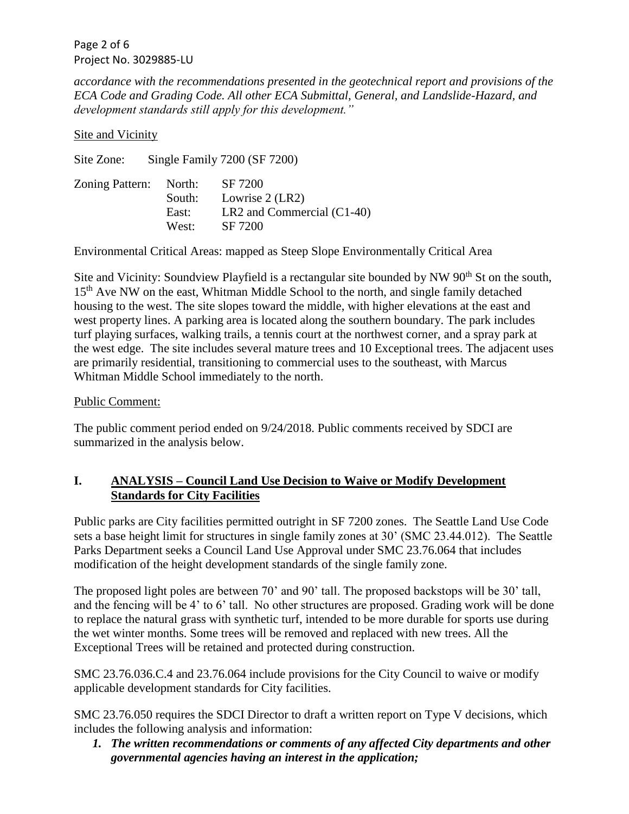Page 2 of 6 Project No. 3029885-LU

*accordance with the recommendations presented in the geotechnical report and provisions of the ECA Code and Grading Code. All other ECA Submittal, General, and Landslide-Hazard, and development standards still apply for this development."*

Site and Vicinity

Site Zone: Single Family 7200 (SF 7200) Zoning Pattern: North: SF 7200

| Zoning Pattern: North: |        | 5F/200                       |
|------------------------|--------|------------------------------|
|                        | South: | Lowrise $2$ (LR2)            |
|                        | East:  | LR2 and Commercial $(C1-40)$ |
|                        | West:  | SF 7200                      |
|                        |        |                              |

Environmental Critical Areas: mapped as Steep Slope Environmentally Critical Area

Site and Vicinity: Soundview Playfield is a rectangular site bounded by NW 90<sup>th</sup> St on the south, 15<sup>th</sup> Ave NW on the east, Whitman Middle School to the north, and single family detached housing to the west. The site slopes toward the middle, with higher elevations at the east and west property lines. A parking area is located along the southern boundary. The park includes turf playing surfaces, walking trails, a tennis court at the northwest corner, and a spray park at the west edge. The site includes several mature trees and 10 Exceptional trees. The adjacent uses are primarily residential, transitioning to commercial uses to the southeast, with Marcus Whitman Middle School immediately to the north.

## Public Comment:

The public comment period ended on 9/24/2018. Public comments received by SDCI are summarized in the analysis below.

# **I. ANALYSIS – Council Land Use Decision to Waive or Modify Development Standards for City Facilities**

Public parks are City facilities permitted outright in SF 7200 zones. The Seattle Land Use Code sets a base height limit for structures in single family zones at 30' (SMC 23.44.012). The Seattle Parks Department seeks a Council Land Use Approval under SMC 23.76.064 that includes modification of the height development standards of the single family zone.

The proposed light poles are between 70' and 90' tall. The proposed backstops will be 30' tall, and the fencing will be 4' to 6' tall. No other structures are proposed. Grading work will be done to replace the natural grass with synthetic turf, intended to be more durable for sports use during the wet winter months. Some trees will be removed and replaced with new trees. All the Exceptional Trees will be retained and protected during construction.

SMC 23.76.036.C.4 and 23.76.064 include provisions for the City Council to waive or modify applicable development standards for City facilities.

SMC 23.76.050 requires the SDCI Director to draft a written report on Type V decisions, which includes the following analysis and information:

*1. The written recommendations or comments of any affected City departments and other governmental agencies having an interest in the application;*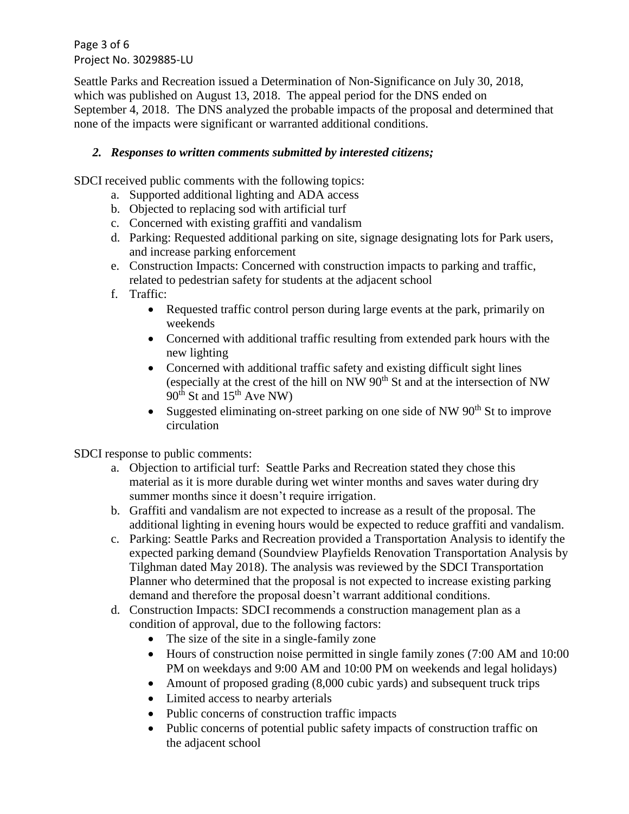Page 3 of 6 Project No. 3029885-LU

Seattle Parks and Recreation issued a Determination of Non-Significance on July 30, 2018, which was published on August 13, 2018. The appeal period for the DNS ended on September 4, 2018. The DNS analyzed the probable impacts of the proposal and determined that none of the impacts were significant or warranted additional conditions.

## *2. Responses to written comments submitted by interested citizens;*

SDCI received public comments with the following topics:

- a. Supported additional lighting and ADA access
- b. Objected to replacing sod with artificial turf
- c. Concerned with existing graffiti and vandalism
- d. Parking: Requested additional parking on site, signage designating lots for Park users, and increase parking enforcement
- e. Construction Impacts: Concerned with construction impacts to parking and traffic, related to pedestrian safety for students at the adjacent school
- f. Traffic:
	- Requested traffic control person during large events at the park, primarily on weekends
	- Concerned with additional traffic resulting from extended park hours with the new lighting
	- Concerned with additional traffic safety and existing difficult sight lines (especially at the crest of the hill on NW  $90<sup>th</sup>$  St and at the intersection of NW  $90^{th}$  St and  $15^{th}$  Ave NW)
	- Suggested eliminating on-street parking on one side of NW  $90<sup>th</sup>$  St to improve circulation

SDCI response to public comments:

- a. Objection to artificial turf: Seattle Parks and Recreation stated they chose this material as it is more durable during wet winter months and saves water during dry summer months since it doesn't require irrigation.
- b. Graffiti and vandalism are not expected to increase as a result of the proposal. The additional lighting in evening hours would be expected to reduce graffiti and vandalism.
- c. Parking: Seattle Parks and Recreation provided a Transportation Analysis to identify the expected parking demand (Soundview Playfields Renovation Transportation Analysis by Tilghman dated May 2018). The analysis was reviewed by the SDCI Transportation Planner who determined that the proposal is not expected to increase existing parking demand and therefore the proposal doesn't warrant additional conditions.
- d. Construction Impacts: SDCI recommends a construction management plan as a condition of approval, due to the following factors:
	- The size of the site in a single-family zone
	- Hours of construction noise permitted in single family zones (7:00 AM and 10:00) PM on weekdays and 9:00 AM and 10:00 PM on weekends and legal holidays)
	- Amount of proposed grading (8,000 cubic yards) and subsequent truck trips
	- Limited access to nearby arterials
	- Public concerns of construction traffic impacts
	- Public concerns of potential public safety impacts of construction traffic on the adjacent school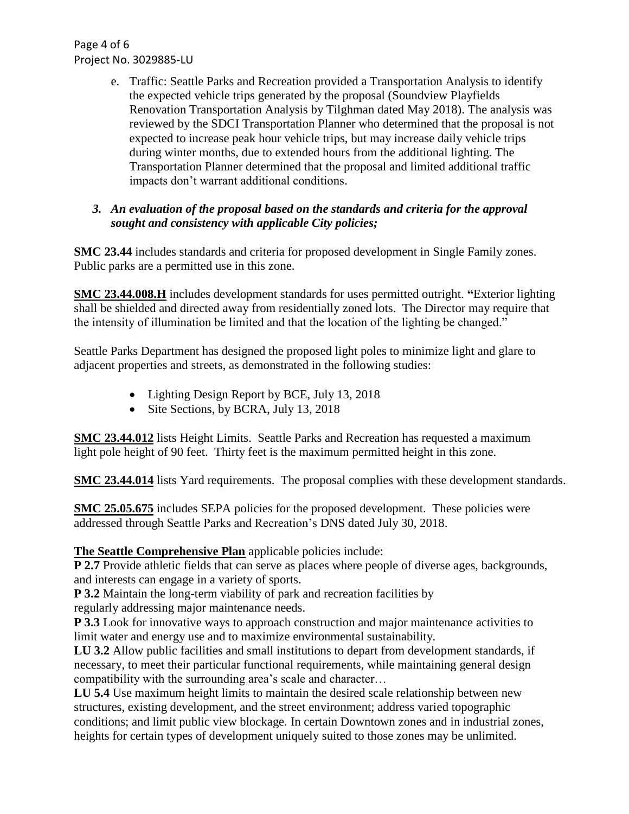Page 4 of 6 Project No. 3029885-LU

> e. Traffic: Seattle Parks and Recreation provided a Transportation Analysis to identify the expected vehicle trips generated by the proposal (Soundview Playfields Renovation Transportation Analysis by Tilghman dated May 2018). The analysis was reviewed by the SDCI Transportation Planner who determined that the proposal is not expected to increase peak hour vehicle trips, but may increase daily vehicle trips during winter months, due to extended hours from the additional lighting. The Transportation Planner determined that the proposal and limited additional traffic impacts don't warrant additional conditions.

## *3. An evaluation of the proposal based on the standards and criteria for the approval sought and consistency with applicable City policies;*

**SMC 23.44** includes standards and criteria for proposed development in Single Family zones. Public parks are a permitted use in this zone.

**SMC 23.44.008.H** includes development standards for uses permitted outright. **"**Exterior lighting shall be shielded and directed away from residentially zoned lots. The Director may require that the intensity of illumination be limited and that the location of the lighting be changed."

Seattle Parks Department has designed the proposed light poles to minimize light and glare to adjacent properties and streets, as demonstrated in the following studies:

- Lighting Design Report by BCE, July 13, 2018
- Site Sections, by BCRA, July 13, 2018

**SMC 23.44.012** lists Height Limits. Seattle Parks and Recreation has requested a maximum light pole height of 90 feet. Thirty feet is the maximum permitted height in this zone.

**SMC 23.44.014** lists Yard requirements. The proposal complies with these development standards.

**SMC 25.05.675** includes SEPA policies for the proposed development. These policies were addressed through Seattle Parks and Recreation's DNS dated July 30, 2018.

# **The Seattle Comprehensive Plan** applicable policies include:

**P 2.7** Provide athletic fields that can serve as places where people of diverse ages, backgrounds, and interests can engage in a variety of sports.

**P 3.2** Maintain the long-term viability of park and recreation facilities by

regularly addressing major maintenance needs.

**P 3.3** Look for innovative ways to approach construction and major maintenance activities to limit water and energy use and to maximize environmental sustainability.

**LU 3.2** Allow public facilities and small institutions to depart from development standards, if necessary, to meet their particular functional requirements, while maintaining general design compatibility with the surrounding area's scale and character…

**LU 5.4** Use maximum height limits to maintain the desired scale relationship between new structures, existing development, and the street environment; address varied topographic conditions; and limit public view blockage. In certain Downtown zones and in industrial zones, heights for certain types of development uniquely suited to those zones may be unlimited.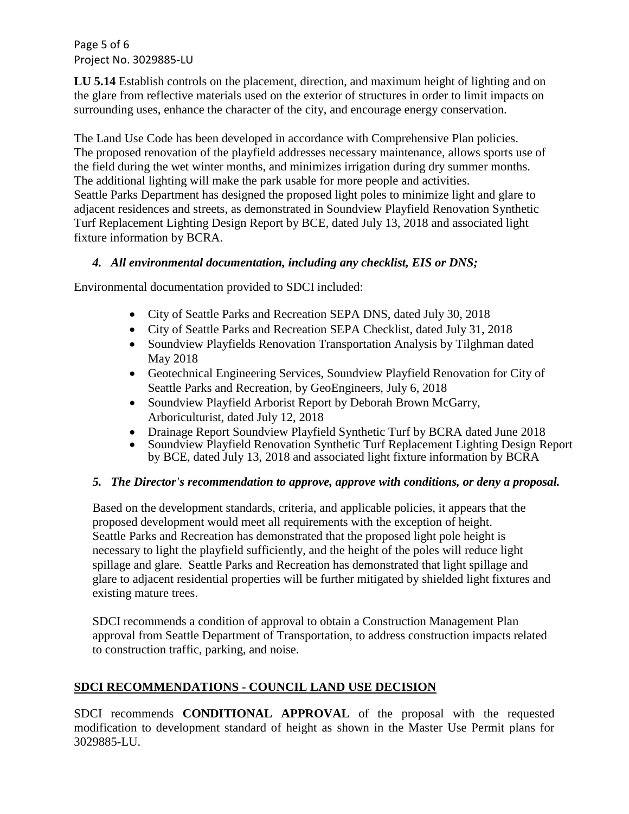Page 5 of 6 Project No. 3029885-LU

**LU 5.14** Establish controls on the placement, direction, and maximum height of lighting and on the glare from reflective materials used on the exterior of structures in order to limit impacts on surrounding uses, enhance the character of the city, and encourage energy conservation.

The Land Use Code has been developed in accordance with Comprehensive Plan policies. The proposed renovation of the playfield addresses necessary maintenance, allows sports use of the field during the wet winter months, and minimizes irrigation during dry summer months. The additional lighting will make the park usable for more people and activities. Seattle Parks Department has designed the proposed light poles to minimize light and glare to adjacent residences and streets, as demonstrated in Soundview Playfield Renovation Synthetic Turf Replacement Lighting Design Report by BCE, dated July 13, 2018 and associated light fixture information by BCRA.

## *4. All environmental documentation, including any checklist, EIS or DNS;*

Environmental documentation provided to SDCI included:

- City of Seattle Parks and Recreation SEPA DNS, dated July 30, 2018
- City of Seattle Parks and Recreation SEPA Checklist, dated July 31, 2018
- Soundview Playfields Renovation Transportation Analysis by Tilghman dated May 2018
- Geotechnical Engineering Services, Soundview Playfield Renovation for City of Seattle Parks and Recreation, by GeoEngineers, July 6, 2018
- Soundview Playfield Arborist Report by Deborah Brown McGarry, Arboriculturist, dated July 12, 2018
- Drainage Report Soundview Playfield Synthetic Turf by BCRA dated June 2018
- Soundview Playfield Renovation Synthetic Turf Replacement Lighting Design Report by BCE, dated July 13, 2018 and associated light fixture information by BCRA

## *5. The Director's recommendation to approve, approve with conditions, or deny a proposal.*

Based on the development standards, criteria, and applicable policies, it appears that the proposed development would meet all requirements with the exception of height. Seattle Parks and Recreation has demonstrated that the proposed light pole height is necessary to light the playfield sufficiently, and the height of the poles will reduce light spillage and glare. Seattle Parks and Recreation has demonstrated that light spillage and glare to adjacent residential properties will be further mitigated by shielded light fixtures and existing mature trees.

SDCI recommends a condition of approval to obtain a Construction Management Plan approval from Seattle Department of Transportation, to address construction impacts related to construction traffic, parking, and noise.

# **SDCI RECOMMENDATIONS - COUNCIL LAND USE DECISION**

SDCI recommends **CONDITIONAL APPROVAL** of the proposal with the requested modification to development standard of height as shown in the Master Use Permit plans for 3029885-LU.